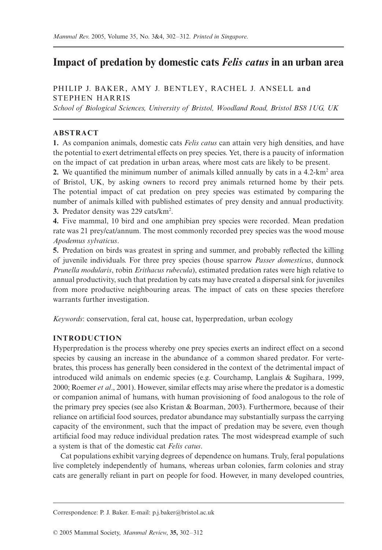# **Impact of predation by domestic cats** *Felis catus* **in an urban area**

## PHILIP J. BAKER, AMY J. BENTLEY, RACHEL J. ANSELL and STEPHEN HARRIS

*School of Biological Sciences, University of Bristol, Woodland Road, Bristol BS8 1UG, UK*

## **ABSTRACT**

**1.** As companion animals, domestic cats *Felis catus* can attain very high densities, and have the potential to exert detrimental effects on prey species. Yet, there is a paucity of information on the impact of cat predation in urban areas, where most cats are likely to be present.

**2.** We quantified the minimum number of animals killed annually by cats in a  $4.2 \times m^2$  area of Bristol, UK, by asking owners to record prey animals returned home by their pets. The potential impact of cat predation on prey species was estimated by comparing the number of animals killed with published estimates of prey density and annual productivity. **3.** Predator density was 229 cats/km2 .

**4.** Five mammal, 10 bird and one amphibian prey species were recorded. Mean predation rate was 21 prey/cat/annum. The most commonly recorded prey species was the wood mouse *Apodemus sylvaticus*.

**5.** Predation on birds was greatest in spring and summer, and probably reflected the killing of juvenile individuals. For three prey species (house sparrow *Passer domesticus*, dunnock *Prunella modularis*, robin *Erithacus rubecula*), estimated predation rates were high relative to annual productivity, such that predation by cats may have created a dispersal sink for juveniles from more productive neighbouring areas. The impact of cats on these species therefore warrants further investigation.

*Keywords*: conservation, feral cat, house cat, hyperpredation, urban ecology

## **INTRODUCTION**

Hyperpredation is the process whereby one prey species exerts an indirect effect on a second species by causing an increase in the abundance of a common shared predator. For vertebrates, this process has generally been considered in the context of the detrimental impact of introduced wild animals on endemic species (e.g. Courchamp, Langlais & Sugihara, 1999, 2000; Roemer *et al*., 2001). However, similar effects may arise where the predator is a domestic or companion animal of humans, with human provisioning of food analogous to the role of the primary prey species (see also Kristan & Boarman, 2003). Furthermore, because of their reliance on artificial food sources, predator abundance may substantially surpass the carrying capacity of the environment, such that the impact of predation may be severe, even though artificial food may reduce individual predation rates. The most widespread example of such a system is that of the domestic cat *Felis catus*.

Cat populations exhibit varying degrees of dependence on humans. Truly, feral populations live completely independently of humans, whereas urban colonies, farm colonies and stray cats are generally reliant in part on people for food. However, in many developed countries,

Correspondence: P. J. Baker. E-mail: p.j.baker@bristol.ac.uk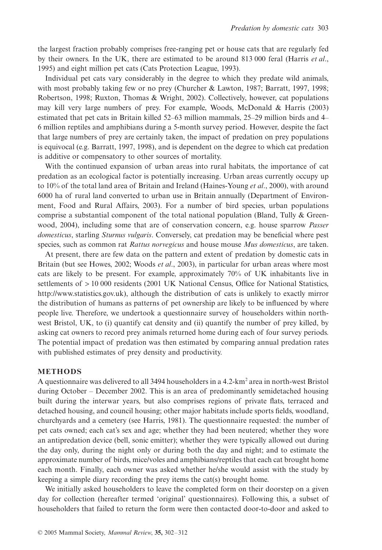the largest fraction probably comprises free-ranging pet or house cats that are regularly fed by their owners. In the UK, there are estimated to be around 813 000 feral (Harris *et al*., 1995) and eight million pet cats (Cats Protection League, 1993).

Individual pet cats vary considerably in the degree to which they predate wild animals, with most probably taking few or no prey (Churcher & Lawton, 1987; Barratt, 1997, 1998; Robertson, 1998; Ruxton, Thomas & Wright, 2002). Collectively, however, cat populations may kill very large numbers of prey. For example, Woods, McDonald & Harris (2003) estimated that pet cats in Britain killed 52–63 million mammals, 25–29 million birds and 4– 6 million reptiles and amphibians during a 5-month survey period. However, despite the fact that large numbers of prey are certainly taken, the impact of predation on prey populations is equivocal (e.g. Barratt, 1997, 1998), and is dependent on the degree to which cat predation is additive or compensatory to other sources of mortality.

With the continued expansion of urban areas into rural habitats, the importance of cat predation as an ecological factor is potentially increasing. Urban areas currently occupy up to 10% of the total land area of Britain and Ireland (Haines-Young *et al*., 2000), with around 6000 ha of rural land converted to urban use in Britain annually (Department of Environment, Food and Rural Affairs, 2003). For a number of bird species, urban populations comprise a substantial component of the total national population (Bland, Tully  $\&$  Greenwood, 2004), including some that are of conservation concern, e.g. house sparrow *Passer domesticus*, starling *Sturnus vulgaris*. Conversely, cat predation may be beneficial where pest species, such as common rat *Rattus norvegicus* and house mouse *Mus domesticus*, are taken.

At present, there are few data on the pattern and extent of predation by domestic cats in Britain (but see Howes, 2002; Woods *et al*., 2003), in particular for urban areas where most cats are likely to be present. For example, approximately 70% of UK inhabitants live in settlements of  $> 10000$  residents (2001 UK National Census, Office for National Statistics, <http://www.statistics.gov.uk>), although the distribution of cats is unlikely to exactly mirror the distribution of humans as patterns of pet ownership are likely to be influenced by where people live. Therefore, we undertook a questionnaire survey of householders within northwest Bristol, UK, to (i) quantify cat density and (ii) quantify the number of prey killed, by asking cat owners to record prey animals returned home during each of four survey periods. The potential impact of predation was then estimated by comparing annual predation rates with published estimates of prey density and productivity.

#### **METHODS**

A questionnaire was delivered to all 3494 householders in a 4.2-km2 area in north-west Bristol during October – December 2002. This is an area of predominantly semidetached housing built during the interwar years, but also comprises regions of private flats, terraced and detached housing, and council housing; other major habitats include sports fields, woodland, churchyards and a cemetery (see Harris, 1981). The questionnaire requested: the number of pet cats owned; each cat's sex and age; whether they had been neutered; whether they wore an antipredation device (bell, sonic emitter); whether they were typically allowed out during the day only, during the night only or during both the day and night; and to estimate the approximate number of birds, mice/voles and amphibians/reptiles that each cat brought home each month. Finally, each owner was asked whether he/she would assist with the study by keeping a simple diary recording the prey items the cat(s) brought home.

We initially asked householders to leave the completed form on their doorstep on a given day for collection (hereafter termed 'original' questionnaires). Following this, a subset of householders that failed to return the form were then contacted door-to-door and asked to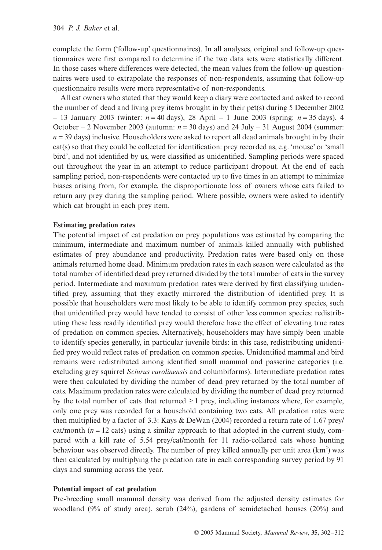complete the form ('follow-up' questionnaires). In all analyses, original and follow-up questionnaires were first compared to determine if the two data sets were statistically different. In those cases where differences were detected, the mean values from the follow-up questionnaires were used to extrapolate the responses of non-respondents, assuming that follow-up questionnaire results were more representative of non-respondents.

All cat owners who stated that they would keep a diary were contacted and asked to record the number of dead and living prey items brought in by their pet(s) during 5 December 2002 – 13 January 2003 (winter: *n* = 40 days), 28 April – 1 June 2003 (spring: *n* = 35 days), 4 October – 2 November 2003 (autumn:  $n = 30$  days) and 24 July – 31 August 2004 (summer:  $n = 39$  days) inclusive. Householders were asked to report all dead animals brought in by their cat(s) so that they could be collected for identification: prey recorded as, e.g. 'mouse' or 'small bird', and not identified by us, were classified as unidentified. Sampling periods were spaced out throughout the year in an attempt to reduce participant dropout. At the end of each sampling period, non-respondents were contacted up to five times in an attempt to minimize biases arising from, for example, the disproportionate loss of owners whose cats failed to return any prey during the sampling period. Where possible, owners were asked to identify which cat brought in each prey item.

#### **Estimating predation rates**

The potential impact of cat predation on prey populations was estimated by comparing the minimum, intermediate and maximum number of animals killed annually with published estimates of prey abundance and productivity. Predation rates were based only on those animals returned home dead. Minimum predation rates in each season were calculated as the total number of identified dead prey returned divided by the total number of cats in the survey period. Intermediate and maximum predation rates were derived by first classifying unidentified prey, assuming that they exactly mirrored the distribution of identified prey. It is possible that householders were most likely to be able to identify common prey species, such that unidentified prey would have tended to consist of other less common species: redistributing these less readily identified prey would therefore have the effect of elevating true rates of predation on common species. Alternatively, householders may have simply been unable to identify species generally, in particular juvenile birds: in this case, redistributing unidentified prey would reflect rates of predation on common species. Unidentified mammal and bird remains were redistributed among identified small mammal and passerine categories (i.e. excluding grey squirrel *Sciurus carolinensis* and columbiforms). Intermediate predation rates were then calculated by dividing the number of dead prey returned by the total number of cats. Maximum predation rates were calculated by dividing the number of dead prey returned by the total number of cats that returned  $\geq 1$  prey, including instances where, for example, only one prey was recorded for a household containing two cats. All predation rates were then multiplied by a factor of 3.3: Kays & DeWan (2004) recorded a return rate of 1.67 prey/ cat/month  $(n = 12 \text{ cats})$  using a similar approach to that adopted in the current study, compared with a kill rate of 5.54 prey/cat/month for 11 radio-collared cats whose hunting behaviour was observed directly. The number of prey killed annually per unit area  $(km^2)$  was then calculated by multiplying the predation rate in each corresponding survey period by 91 days and summing across the year.

#### **Potential impact of cat predation**

Pre-breeding small mammal density was derived from the adjusted density estimates for woodland (9% of study area), scrub (24%), gardens of semidetached houses (20%) and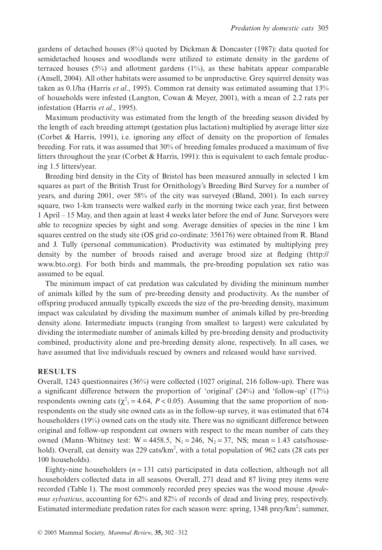gardens of detached houses  $(8\%)$  quoted by Dickman & Doncaster (1987): data quoted for semidetached houses and woodlands were utilized to estimate density in the gardens of terraced houses  $(5%)$  and allotment gardens  $(1%)$ , as these habitats appear comparable (Ansell, 2004). All other habitats were assumed to be unproductive. Grey squirrel density was taken as 0.1/ha (Harris *et al*., 1995). Common rat density was estimated assuming that 13% of households were infested (Langton, Cowan & Meyer, 2001), with a mean of 2.2 rats per infestation (Harris *et al*., 1995).

Maximum productivity was estimated from the length of the breeding season divided by the length of each breeding attempt (gestation plus lactation) multiplied by average litter size (Corbet & Harris, 1991), i.e. ignoring any effect of density on the proportion of females breeding. For rats, it was assumed that 30% of breeding females produced a maximum of five litters throughout the year (Corbet & Harris, 1991): this is equivalent to each female producing 1.5 litters/year.

Breeding bird density in the City of Bristol has been measured annually in selected 1 km squares as part of the British Trust for Ornithology's Breeding Bird Survey for a number of years, and during 2001, over 58% of the city was surveyed (Bland, 2001). In each survey square, two 1-km transects were walked early in the morning twice each year, first between 1 April – 15 May, and then again at least 4 weeks later before the end of June. Surveyors were able to recognize species by sight and song. Average densities of species in the nine 1 km squares centred on the study site (OS grid co-ordinate: 356176) were obtained from R. Bland and J. Tully (personal communication). Productivity was estimated by multiplying prey density by the number of broods raised and average brood size at fledging [\(http://](http://) www.bto.org). For both birds and mammals, the pre-breeding population sex ratio was assumed to be equal.

The minimum impact of cat predation was calculated by dividing the minimum number of animals killed by the sum of pre-breeding density and productivity. As the number of offspring produced annually typically exceeds the size of the pre-breeding density, maximum impact was calculated by dividing the maximum number of animals killed by pre-breeding density alone. Intermediate impacts (ranging from smallest to largest) were calculated by dividing the intermediate number of animals killed by pre-breeding density and productivity combined, productivity alone and pre-breeding density alone, respectively. In all cases, we have assumed that live individuals rescued by owners and released would have survived.

### **RESULTS**

Overall, 1243 questionnaires (36%) were collected (1027 original, 216 follow-up). There was a significant difference between the proportion of 'original' (24%) and 'follow-up' (17%) respondents owning cats  $(\chi^2) = 4.64$ ,  $P < 0.05$ ). Assuming that the same proportion of nonrespondents on the study site owned cats as in the follow-up survey, it was estimated that 674 householders (19%) owned cats on the study site. There was no significant difference between original and follow-up respondent cat owners with respect to the mean number of cats they owned (Mann–Whitney test:  $W = 4458.5$ ,  $N_1 = 246$ ,  $N_2 = 37$ , NS; mean = 1.43 cats/household). Overall, cat density was 229 cats/km<sup>2</sup>, with a total population of 962 cats (28 cats per 100 households).

Eighty-nine householders ( $n = 131$  cats) participated in data collection, although not all householders collected data in all seasons. Overall, 271 dead and 87 living prey items were recorded (Table 1). The most commonly recorded prey species was the wood mouse *Apodemus sylvaticus*, accounting for 62% and 82% of records of dead and living prey, respectively. Estimated intermediate predation rates for each season were: spring, 1348 prey/km<sup>2</sup>; summer,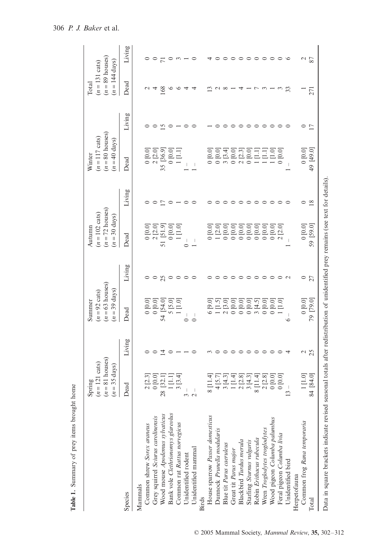|                                                                                                                                   | $n = 81$ houses)<br>$n = 121 \text{ cats}$<br>$=$ 35 days)<br>auride<br>$\overline{a}$ |               | $(n = 63$ houses)<br>$(n=39 \text{ days})$<br>$(n=92 \text{ cats})$<br>Summer |         | $(n = 72 \text{ houses})$<br>$(n = 102 \text{ cats})$<br>$(n=30 \text{ days})$<br>Autumn |                | $n = 80$ houses)<br>$(n = 117 \text{ cats})$<br>$(n = 40 \text{ days})$<br>Winter |         | $(n = 89$ houses)<br>$(n = 144 \text{ days})$<br>$(n = 131 \text{ cats})$<br>Total |         |
|-----------------------------------------------------------------------------------------------------------------------------------|----------------------------------------------------------------------------------------|---------------|-------------------------------------------------------------------------------|---------|------------------------------------------------------------------------------------------|----------------|-----------------------------------------------------------------------------------|---------|------------------------------------------------------------------------------------|---------|
| Species                                                                                                                           | Dead                                                                                   | Living        | Dead                                                                          | Living  | Dead                                                                                     | Living         | Dead                                                                              | Living  | Dead                                                                               | Living  |
| Mammals                                                                                                                           |                                                                                        |               |                                                                               |         |                                                                                          |                |                                                                                   |         |                                                                                    |         |
| Common shrew Sorex araneus                                                                                                        | 2[2.3]                                                                                 |               | 0.010                                                                         |         | 0 [0.0]                                                                                  |                | 0.010                                                                             |         |                                                                                    |         |
| Grey squirrel Sciurus carolinensis                                                                                                | 0.010                                                                                  | $\circ$       | 0 [0.0]                                                                       | $\circ$ | 2 [2.0]                                                                                  |                | 2 [2.0]                                                                           |         | 4                                                                                  |         |
| Wood mouse Apodemus sylvaticus                                                                                                    | [32.1]<br>òó                                                                           | 그             | 54 [54.0]                                                                     | 25      | 51 [51.9]                                                                                | $\overline{1}$ | 35 [36.9]                                                                         | 51      | 168                                                                                |         |
| Bank vole Clethrionomys glareolus                                                                                                 | 1[1.1]                                                                                 | ∊             | 5 [5.0]                                                                       | $\circ$ | $0.0$ ]                                                                                  | $\circ$        | 0 [0.0]                                                                           |         | ≌                                                                                  | $\circ$ |
| Common rat Rattus norvegicus                                                                                                      | 3 [3.4]                                                                                |               | [1.0]                                                                         | $\circ$ | [1.0]                                                                                    |                | $\Xi$                                                                             |         | ≌                                                                                  |         |
| Unidentified rodent                                                                                                               |                                                                                        |               | I<br>$\circ$                                                                  | $\circ$ | I<br>$\circ$                                                                             |                |                                                                                   |         | ᆉ                                                                                  |         |
| Unidentified mammal                                                                                                               | I                                                                                      | ⊂             | I<br>$\circ$                                                                  | ⊂       | I                                                                                        |                |                                                                                   |         | 4                                                                                  | ⊂       |
| Birds                                                                                                                             |                                                                                        |               |                                                                               |         |                                                                                          |                |                                                                                   |         |                                                                                    |         |
| House sparrow Passer domesticus                                                                                                   | 8 [11.4]                                                                               |               | 6 [9.0]                                                                       |         | [0.0]                                                                                    |                | 0[0.0]                                                                            |         |                                                                                    |         |
| Dunnock Prunella modularis                                                                                                        | 4 [5.7]                                                                                |               | $[1.5]$                                                                       |         | $[2.0]$                                                                                  |                | [0.0]                                                                             |         |                                                                                    |         |
| Blue tit Parus caeruleus                                                                                                          | 3[4.3]                                                                                 |               | $[3.0]$<br>$\sim$                                                             |         | [0.0]                                                                                    |                | 3 [3.4]                                                                           |         |                                                                                    | $\circ$ |
| Great tit Parus major                                                                                                             | $[1.4]$                                                                                |               | 0.010                                                                         |         | $[0.0]$                                                                                  |                | 0 [0.0]                                                                           |         |                                                                                    | $\circ$ |
| Blackbird Turdus merula                                                                                                           | 2 [2.8]                                                                                | $\circ$       | [0.0]<br>$\circ$                                                              | $\circ$ | $[0.0]$                                                                                  | $\circ$        | 2 [2.3]                                                                           |         |                                                                                    | $\circ$ |
| Starling Sturnus vulgaris                                                                                                         | $3\ [4.3]$                                                                             | $\circ$       | $[0.0]$<br>$\circ$                                                            | $\circ$ | $[0.0]$<br>$\circ$                                                                       | $\circ$        | 0 [0.0]                                                                           | $\circ$ |                                                                                    | $\circ$ |
| Robin Erithacus rubecula                                                                                                          | $8$ [11.4]                                                                             | $\circ$       | $[4.5]$<br>$\epsilon$                                                         | $\circ$ | $[0.0]$<br>$\circ$                                                                       | $\circ$        | $1$ [1.1]                                                                         | $\circ$ |                                                                                    | $\circ$ |
| Wren Troglodytes troglodytes                                                                                                      | 2 [2.8]                                                                                | $\circ$       | [0.0]<br>$\circ$                                                              | $\circ$ | $[0.0]$<br>$\circ$                                                                       | $\circ$        | $\Xi$                                                                             | $\circ$ |                                                                                    | $\circ$ |
| Wood pigeon Columba palumbus                                                                                                      | 0.010                                                                                  |               | [0.0]<br>$\circ$                                                              | $\circ$ | [0.0]                                                                                    |                | $[1.0]$                                                                           |         |                                                                                    | $\circ$ |
| Feral pigeon Columba livia                                                                                                        | [0.0]                                                                                  |               | [1.0]                                                                         |         | [2.0]<br>$\mathcal{L}$                                                                   |                | $0.0$ ]                                                                           |         |                                                                                    | $\circ$ |
| Unidentified bird                                                                                                                 | 3                                                                                      |               | ७                                                                             |         |                                                                                          |                |                                                                                   |         | 33                                                                                 | $\circ$ |
| Herpetofauna                                                                                                                      |                                                                                        |               |                                                                               |         |                                                                                          |                |                                                                                   |         |                                                                                    |         |
| Common frog Rana temporaria                                                                                                       | $1$ [1.0]                                                                              | $\mathcal{L}$ | 0.010                                                                         | $\circ$ | 0.010                                                                                    | 0              | [0.0]                                                                             | $\circ$ |                                                                                    | $\sim$  |
| Total                                                                                                                             | 84. [84.0]                                                                             | 25            | 79 [79.0]                                                                     | 27      | 59 [59.0]                                                                                | $\approx$      | 49 [49.0]                                                                         | 17      | 271                                                                                | 87      |
| Data in square brackets indicate revised seasonal totals after redistribution of unidentified prey remains (see text for details) |                                                                                        |               |                                                                               |         |                                                                                          |                |                                                                                   |         |                                                                                    |         |

**Table 1.** Summary of prey items brought home

Table 1. Summary of prey items brought home

© 2005 Mammal Society, *Mammal Review*, **35,** 302–312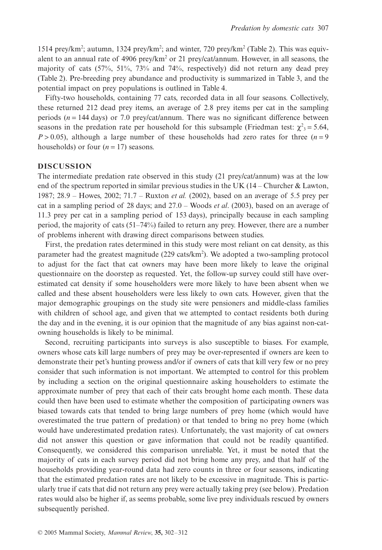1514 prey/km<sup>2</sup>; autumn, 1324 prey/km<sup>2</sup>; and winter, 720 prey/km<sup>2</sup> (Table 2). This was equivalent to an annual rate of 4906 prey/km<sup>2</sup> or 21 prey/cat/annum. However, in all seasons, the majority of cats (57%, 51%, 73% and 74%, respectively) did not return any dead prey (Table 2). Pre-breeding prey abundance and productivity is summarized in Table 3, and the potential impact on prey populations is outlined in Table 4.

Fifty-two households, containing 77 cats, recorded data in all four seasons. Collectively, these returned 212 dead prey items, an average of 2.8 prey items per cat in the sampling periods (*n* = 144 days) or 7.0 prey/cat/annum. There was no significant difference between seasons in the predation rate per household for this subsample (Friedman test:  $\chi^2$ <sub>3</sub> = 5.64,  $P > 0.05$ ), although a large number of these households had zero rates for three ( $n = 9$ ) households) or four  $(n = 17)$  seasons.

#### **DISCUSSION**

The intermediate predation rate observed in this study (21 prey/cat/annum) was at the low end of the spectrum reported in similar previous studies in the UK  $(14 -$ Churcher & Lawton, 1987; 28.9 – Howes, 2002; 71.7 – Ruxton *et al.* (2002), based on an average of 5.5 prey per cat in a sampling period of 28 days; and 27.0 – Woods *et al*. (2003), based on an average of 11.3 prey per cat in a sampling period of 153 days), principally because in each sampling period, the majority of cats (51–74%) failed to return any prey. However, there are a number of problems inherent with drawing direct comparisons between studies.

First, the predation rates determined in this study were most reliant on cat density, as this parameter had the greatest magnitude (229 cats/km<sup>2</sup>). We adopted a two-sampling protocol to adjust for the fact that cat owners may have been more likely to leave the original questionnaire on the doorstep as requested. Yet, the follow-up survey could still have overestimated cat density if some householders were more likely to have been absent when we called and these absent householders were less likely to own cats. However, given that the major demographic groupings on the study site were pensioners and middle-class families with children of school age, and given that we attempted to contact residents both during the day and in the evening, it is our opinion that the magnitude of any bias against non-catowning households is likely to be minimal.

Second, recruiting participants into surveys is also susceptible to biases. For example, owners whose cats kill large numbers of prey may be over-represented if owners are keen to demonstrate their pet's hunting prowess and/or if owners of cats that kill very few or no prey consider that such information is not important. We attempted to control for this problem by including a section on the original questionnaire asking householders to estimate the approximate number of prey that each of their cats brought home each month. These data could then have been used to estimate whether the composition of participating owners was biased towards cats that tended to bring large numbers of prey home (which would have overestimated the true pattern of predation) or that tended to bring no prey home (which would have underestimated predation rates). Unfortunately, the vast majority of cat owners did not answer this question or gave information that could not be readily quantified. Consequently, we considered this comparison unreliable. Yet, it must be noted that the majority of cats in each survey period did not bring home any prey, and that half of the households providing year-round data had zero counts in three or four seasons, indicating that the estimated predation rates are not likely to be excessive in magnitude. This is particularly true if cats that did not return any prey were actually taking prey (see below). Predation rates would also be higher if, as seems probable, some live prey individuals rescued by owners subsequently perished.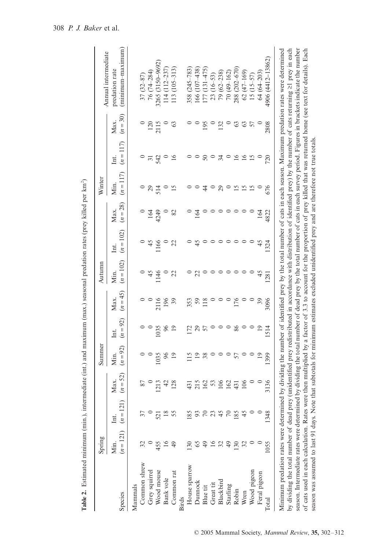|                                                                                                                                                                                                                                                                                                                        | Spring           |                                 |                    | Summer             |                    |                    | Autumn              |                     |                    | Winter              |                     |                    | Annual intermediate                                                                                                                                                                                                                                                                                                                                                                                          |
|------------------------------------------------------------------------------------------------------------------------------------------------------------------------------------------------------------------------------------------------------------------------------------------------------------------------|------------------|---------------------------------|--------------------|--------------------|--------------------|--------------------|---------------------|---------------------|--------------------|---------------------|---------------------|--------------------|--------------------------------------------------------------------------------------------------------------------------------------------------------------------------------------------------------------------------------------------------------------------------------------------------------------------------------------------------------------------------------------------------------------|
| Species                                                                                                                                                                                                                                                                                                                | Min.             | $(n = 121)$ $(n = 121)$<br>Int. | $(n = 52)$<br>Max. | $(n = 92)$<br>Min. | $(n = 92)$<br>Int. | $(n = 45)$<br>Max. | $(n = 102)$<br>Min. | $(n = 102)$<br>Int. | $(n = 28)$<br>Max. | $(n = 117)$<br>Мin. | $(n = 117)$<br>Int. | $(n = 30)$<br>Max. | (minimum-maximum)<br>predation rate                                                                                                                                                                                                                                                                                                                                                                          |
| Mammals                                                                                                                                                                                                                                                                                                                |                  |                                 |                    |                    |                    |                    |                     |                     |                    |                     |                     |                    |                                                                                                                                                                                                                                                                                                                                                                                                              |
| Common shrew                                                                                                                                                                                                                                                                                                           |                  |                                 | 87                 |                    |                    |                    |                     |                     |                    |                     |                     |                    | $37(32 - 87)$                                                                                                                                                                                                                                                                                                                                                                                                |
| Grey squirrel                                                                                                                                                                                                                                                                                                          |                  |                                 |                    |                    |                    |                    | $\frac{45}{5}$      | $\frac{45}{5}$      |                    |                     |                     | 120                | 76 (74–284)                                                                                                                                                                                                                                                                                                                                                                                                  |
| Wood mouse                                                                                                                                                                                                                                                                                                             | 455              | 521                             | 1213               | 1035               | 1035               |                    | 1146                | 1166                | 1424               | $\frac{29}{514}$    | 31                  | 2115               | 3265 (3150-9692)                                                                                                                                                                                                                                                                                                                                                                                             |
| <b>Bank</b> vole                                                                                                                                                                                                                                                                                                       | $\overline{16}$  |                                 | 42                 | 96                 | 66                 | 2116<br>196        |                     |                     |                    |                     | $\circ$             |                    | $114(112 - 237)$                                                                                                                                                                                                                                                                                                                                                                                             |
| Common rat                                                                                                                                                                                                                                                                                                             | $^{49}$          |                                 | 128                |                    |                    |                    | S                   | 22                  | 82                 |                     | 16                  | $\mathcal{C}$      | $113(105-313)$                                                                                                                                                                                                                                                                                                                                                                                               |
| <b>Birds</b>                                                                                                                                                                                                                                                                                                           |                  |                                 |                    |                    |                    |                    |                     |                     |                    |                     |                     |                    |                                                                                                                                                                                                                                                                                                                                                                                                              |
| House sparrow                                                                                                                                                                                                                                                                                                          |                  |                                 | 431                | 115                | $\overline{2}$     | 353                |                     |                     |                    |                     |                     |                    | 358 (245–783)                                                                                                                                                                                                                                                                                                                                                                                                |
| Dunnock                                                                                                                                                                                                                                                                                                                | 65               |                                 | 215                |                    |                    |                    | $\mathbb{Z}$        | 45                  | 164                |                     |                     |                    | $166(107 - 438)$                                                                                                                                                                                                                                                                                                                                                                                             |
| Blue tit                                                                                                                                                                                                                                                                                                               |                  |                                 | 162                | 38                 | 57                 | 118                |                     |                     |                    | $\ddot{4}$          | $\mathsf{S}0$       | 195                | $177(131 - 475)$                                                                                                                                                                                                                                                                                                                                                                                             |
| Great tit                                                                                                                                                                                                                                                                                                              |                  |                                 | 53                 |                    |                    |                    |                     |                     |                    |                     |                     |                    | $23(16-53)$                                                                                                                                                                                                                                                                                                                                                                                                  |
| Blackbird                                                                                                                                                                                                                                                                                                              |                  |                                 | 106                |                    |                    |                    | $\circ$             |                     |                    | 29                  |                     | 132                | $79(62 - 238)$                                                                                                                                                                                                                                                                                                                                                                                               |
| Starling                                                                                                                                                                                                                                                                                                               |                  |                                 | 162                | $\circ$            | $\circ$            |                    | $\circ$             | $\circ$             | $\circ$ $\circ$    | $\circ$             | $\approx$ 0         |                    | $70(49 - 162)$                                                                                                                                                                                                                                                                                                                                                                                               |
| Robin                                                                                                                                                                                                                                                                                                                  | $\overline{130}$ | 185                             | 431                | 57                 | 86                 | 176                | $\circ$             |                     | $\circ$ $\circ$    | $\overline{15}$     | $\overline{5}$      |                    | 288 (202-670)                                                                                                                                                                                                                                                                                                                                                                                                |
| Wren                                                                                                                                                                                                                                                                                                                   |                  |                                 | 106                |                    |                    | $\circ$            | $\circ$             |                     |                    | 15                  | 16                  | 6357               | $62(47-169)$                                                                                                                                                                                                                                                                                                                                                                                                 |
| Wood pigeon                                                                                                                                                                                                                                                                                                            |                  |                                 |                    |                    |                    |                    | $\circ$             |                     | $\circ$            | 15                  | 15                  |                    | $15(15-57)$                                                                                                                                                                                                                                                                                                                                                                                                  |
| Feral pigeon                                                                                                                                                                                                                                                                                                           |                  |                                 |                    | $\overline{19}$    | $\overline{19}$    | $\overline{3}$     | 45                  | 45                  | 164                |                     |                     |                    | $64(64-203)$                                                                                                                                                                                                                                                                                                                                                                                                 |
| Total                                                                                                                                                                                                                                                                                                                  | 1055             | 1348                            | 3136               | 1399               | 1514               | 3096               | 1281                | 1324                | 4822               | 676                 | 720                 | 2808               | 4906 (4412-13862)                                                                                                                                                                                                                                                                                                                                                                                            |
| of cats used in each calculation. Rates were then multiplied by a factor of 3.3 to account for the proportion of prey killed that was returned home (see text for details). Each<br>Minimum predation rates were determined<br>by dividing the total number of dead prey<br>season. Intermediate rates were determined |                  |                                 |                    |                    |                    |                    |                     |                     |                    |                     |                     |                    | unidentified prey redistributed in accordance with distribution of identified prey) by the number of cats returning ≥l prey in each<br>by dividing the total number of dead prey by the total number of cats in each survey period. Figures in brackets indicate the number<br>by dividing the number of identified prey by the total number of cats in each season. Maximum predation rates were determined |

 $\widehat{\phantom{m}}$ 

**Table 2.** Estimated minimum (min.), intermediate (int.) and maximum (max.) seasonal predation rates (prey killed per km2

season was assumed to last 91 days. Note that subtotals for minimum estimates excluded unidentified prey and are therefore not true totals.

season was assumed to last 91 days. Note that subtotals for minimum estimates excluded unidentified prey and are therefore not true totals.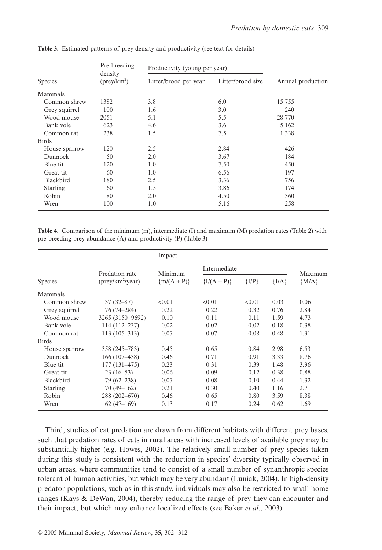|                 | Pre-breeding<br>density<br>$(\text{prey}/\text{km}^2)$ | Productivity (young per year) |                   |                   |
|-----------------|--------------------------------------------------------|-------------------------------|-------------------|-------------------|
| <b>Species</b>  |                                                        | Litter/brood per year         | Litter/brood size | Annual production |
| Mammals         |                                                        |                               |                   |                   |
| Common shrew    | 1382                                                   | 3.8                           | 6.0               | 15755             |
| Grey squirrel   | 100                                                    | 1.6                           | 3.0               | 240               |
| Wood mouse      | 2051                                                   | 5.1                           | 5.5               | 28 770            |
| Bank vole       | 623                                                    | 4.6                           | 3.6               | 5 1 6 2           |
| Common rat      | 238                                                    | 1.5                           | 7.5               | 1 3 3 8           |
| <b>Birds</b>    |                                                        |                               |                   |                   |
| House sparrow   | 120                                                    | 2.5                           | 2.84              | 426               |
| Dunnock         | 50                                                     | 2.0                           | 3.67              | 184               |
| Blue tit        | 120                                                    | 1.0                           | 7.50              | 450               |
| Great tit       | 60                                                     | 1.0                           | 6.56              | 197               |
| Blackbird       | 180                                                    | 2.5                           | 3.36              | 756               |
| <b>Starling</b> | 60                                                     | 1.5                           | 3.86              | 174               |
| Robin           | 80                                                     | 2.0                           | 4.50              | 360               |
| Wren            | 100                                                    | 1.0                           | 5.16              | 258               |

**Table 3.** Estimated patterns of prey density and productivity (see text for details)

**Table 4.** Comparison of the minimum (m), intermediate (I) and maximum (M) predation rates (Table 2) with pre-breeding prey abundance (A) and productivity (P) (Table 3)

|                 |                                         | Impact      |               |           |         |         |
|-----------------|-----------------------------------------|-------------|---------------|-----------|---------|---------|
|                 | Predation rate                          | Minimum     | Intermediate  |           |         | Maximum |
| <b>Species</b>  | $(\text{prey}/\text{km}^2/\text{year})$ | ${m/(A+P)}$ | ${I/(A + P)}$ | $\{I/P\}$ | ${I/A}$ | ${M/A}$ |
| Mammals         |                                         |             |               |           |         |         |
| Common shrew    | $37(32 - 87)$                           | < 0.01      | < 0.01        | < 0.01    | 0.03    | 0.06    |
| Grey squirrel   | 76 (74–284)                             | 0.22        | 0.22          | 0.32      | 0.76    | 2.84    |
| Wood mouse      | 3265 (3150-9692)                        | 0.10        | 0.11          | 0.11      | 1.59    | 4.73    |
| Bank vole       | $114(112 - 237)$                        | 0.02        | 0.02          | 0.02      | 0.18    | 0.38    |
| Common rat      | $113(105-313)$                          | 0.07        | 0.07          | 0.08      | 0.48    | 1.31    |
| <b>Birds</b>    |                                         |             |               |           |         |         |
| House sparrow   | 358 (245–783)                           | 0.45        | 0.65          | 0.84      | 2.98    | 6.53    |
| Dunnock         | $166(107-438)$                          | 0.46        | 0.71          | 0.91      | 3.33    | 8.76    |
| Blue tit        | $177(131-475)$                          | 0.23        | 0.31          | 0.39      | 1.48    | 3.96    |
| Great tit       | $23(16-53)$                             | 0.06        | 0.09          | 0.12      | 0.38    | 0.88    |
| Blackbird       | $79(62 - 238)$                          | 0.07        | 0.08          | 0.10      | 0.44    | 1.32    |
| <b>Starling</b> | $70(49-162)$                            | 0.21        | 0.30          | 0.40      | 1.16    | 2.71    |
| Robin           | 288 (202-670)                           | 0.46        | 0.65          | 0.80      | 3.59    | 8.38    |
| Wren            | $62(47-169)$                            | 0.13        | 0.17          | 0.24      | 0.62    | 1.69    |

Third, studies of cat predation are drawn from different habitats with different prey bases, such that predation rates of cats in rural areas with increased levels of available prey may be substantially higher (e.g. Howes, 2002). The relatively small number of prey species taken during this study is consistent with the reduction in species' diversity typically observed in urban areas, where communities tend to consist of a small number of synanthropic species tolerant of human activities, but which may be very abundant (Luniak, 2004). In high-density predator populations, such as in this study, individuals may also be restricted to small home ranges (Kays & DeWan, 2004), thereby reducing the range of prey they can encounter and their impact, but which may enhance localized effects (see Baker *et al*., 2003).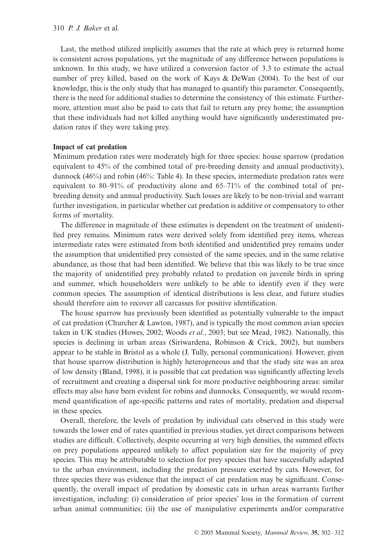Last, the method utilized implicitly assumes that the rate at which prey is returned home is consistent across populations, yet the magnitude of any difference between populations is unknown. In this study, we have utilized a conversion factor of 3.3 to estimate the actual number of prey killed, based on the work of Kays & DeWan (2004). To the best of our knowledge, this is the only study that has managed to quantify this parameter. Consequently, there is the need for additional studies to determine the consistency of this estimate. Furthermore, attention must also be paid to cats that fail to return any prey home; the assumption that these individuals had not killed anything would have significantly underestimated predation rates if they were taking prey.

#### **Impact of cat predation**

Minimum predation rates were moderately high for three species: house sparrow (predation equivalent to 45% of the combined total of pre-breeding density and annual productivity), dunnock (46%) and robin (46%: Table 4). In these species, intermediate predation rates were equivalent to 80–91% of productivity alone and 65–71% of the combined total of prebreeding density and annual productivity. Such losses are likely to be non-trivial and warrant further investigation, in particular whether cat predation is additive or compensatory to other forms of mortality.

The difference in magnitude of these estimates is dependent on the treatment of unidentified prey remains. Minimum rates were derived solely from identified prey items, whereas intermediate rates were estimated from both identified and unidentified prey remains under the assumption that unidentified prey consisted of the same species, and in the same relative abundance, as those that had been identified. We believe that this was likely to be true since the majority of unidentified prey probably related to predation on juvenile birds in spring and summer, which householders were unlikely to be able to identify even if they were common species. The assumption of identical distributions is less clear, and future studies should therefore aim to recover all carcasses for positive identification.

The house sparrow has previously been identified as potentially vulnerable to the impact of cat predation (Churcher & Lawton, 1987), and is typically the most common avian species taken in UK studies (Howes, 2002; Woods *et al*., 2003; but see Mead, 1982). Nationally, this species is declining in urban areas (Siriwardena, Robinson & Crick, 2002), but numbers appear to be stable in Bristol as a whole (J. Tully, personal communication). However, given that house sparrow distribution is highly heterogeneous and that the study site was an area of low density (Bland, 1998), it is possible that cat predation was significantly affecting levels of recruitment and creating a dispersal sink for more productive neighbouring areas: similar effects may also have been evident for robins and dunnocks. Consequently, we would recommend quantification of age-specific patterns and rates of mortality, predation and dispersal in these species.

Overall, therefore, the levels of predation by individual cats observed in this study were towards the lower end of rates quantified in previous studies, yet direct comparisons between studies are difficult. Collectively, despite occurring at very high densities, the summed effects on prey populations appeared unlikely to affect population size for the majority of prey species. This may be attributable to selection for prey species that have successfully adapted to the urban environment, including the predation pressure exerted by cats. However, for three species there was evidence that the impact of cat predation may be significant. Consequently, the overall impact of predation by domestic cats in urban areas warrants further investigation, including: (i) consideration of prior species' loss in the formation of current urban animal communities; (ii) the use of manipulative experiments and/or comparative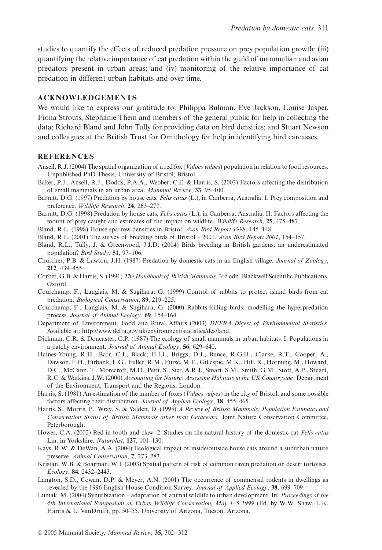studies to quantify the effects of reduced predation pressure on prey population growth; (iii) quantifying the relative importance of cat predation within the guild of mammalian and avian predators present in urban areas; and (iv) monitoring of the relative importance of cat predation in different urban habitats and over time.

#### **ACKNOWLEDGEMENTS**

We would like to express our gratitude to: Philippa Bulman, Eve Jackson, Louise Jasper, Fiona Strouts, Stephanie Thein and members of the general public for help in collecting the data; Richard Bland and John Tully for providing data on bird densities; and Stuart Newson and colleagues at the British Trust for Ornithology for help in identifying bird carcasses.

### **REFERENCES**

- Ansell, R.J. (2004) The spatial organization of a red fox (*Vulpes vulpes*) population in relation to food resources. Unpublished PhD Thesis, University of Bristol, Bristol.
- Baker, P.J., Ansell, R.J., Dodds, P.A.A., Webber, C.E. & Harris, S. (2003) Factors affecting the distribution of small mammals in an urban area. *Mammal Review*, **33**, 95–100.
- Barratt, D.G. (1997) Predation by house cats, *Felis catus* (L.), in Canberra, Australia. I. Prey composition and preference. *Wildlife Research*, **24**, 263–277.
- Barratt, D.G. (1998) Predation by house cats, *Felis catus* (L.), in Canberra, Australia. II. Factors affecting the mount of prey caught and estimates of the impact on wildlife. *Wildlife Research*, **25**, 475–487.
- Bland, R.L. (1998) House sparrow densities in Bristol. *Avon Bird Report 1998*, 145–148.
- Bland, R.L. (2001) The survey of breeding birds of Bristol 2001. *Avon Bird Report 2001*, 154–157.
- Bland, R.L., Tully, J. & Greenwood, J.J.D. (2004) Birds breeding in British gardens: an underestimated population? *Bird Study*, **51**, 97–106.
- Churcher, P.B. & Lawton, J.H. (1987) Predation by domestic cats in an English village. *Journal of Zoology*, **212**, 439–455.
- Corbet, G.B. & Harris, S. (1991) *The Handbook of British Mammals*, 3rd edn. Blackwell Scientific Publications, Oxford.
- Courchamp, F., Langlais, M. & Sugihara, G. (1999) Control of rabbits to protect island birds from cat predation. *Biological Conservation*, **89**, 219–225.
- Courchamp, F., Langlais, M. & Sugihara, G. (2000) Rabbits killing birds: modelling the hyperpredation process. *Journal of Animal Ecology*, **69**, 154–164.
- Department of Environment, Food and Rural Affairs (2003) *DEFRA Digest of Environmental Statistics*. Available at: [http://www.defra.gov.uk/environment/statistics/des/land.](http://www.defra.gov.uk/environment/statistics/des/land)
- Dickman, C.R. & Doncaster, C.P. (1987) The ecology of small mammals in urban habitats. I. Populations in a patchy environment. *Journal of Animal Ecology*, **56**, 629–640.
- Haines-Young, R.H., Barr, C.J., Black, H.I.J., Briggs, D.J., Bunce, R.G.H., Clarke, R.T., Cooper, A., Dawson, F.H., Firbank, L.G., Fuller, R.M., Furse, M.T., Gillespie, M.K., Hill, R., Hornung, M., Howard, D.C., McCann, T., Morecroft, M.D., Petit, S., Sier, A.R.J., Smart, S.M., Smith, G.M., Stott, A.P., Stuart, R.C. & Watkins, J.W. (2000) *Accounting for Nature: Assessing Habitats in the UK Countryside*. Department of the Environment, Transport and the Regions, London.
- Harris, S. (1981) An estimation of the number of foxes (*Vulpes vulpes*) in the city of Bristol, and some possible factors affecting their distribution. *Journal of Applied Ecology*, **18**, 455–465.
- Harris. S., Morris, P., Wray, S. & Yalden, D. (1995) *A Review of British Mammals: Population Estimates and Conservation Status of British Mammals other than Cetaceans.* Joint Nature Conservation Committee, Peterborough.
- Howes, C.A. (2002) Red in tooth and claw: 2. Studies on the natural history of the domestic cat *Felis catus* Lin. in Yorkshire. *Naturalist*, **127**, 101–130.
- Kays, R.W. & DeWan, A.A. (2004) Ecological impact of inside/outside house cats around a suburban nature preserve. *Animal Conservation*, **7**, 273–283.
- Kristan, W.B. & Boarman, W.I. (2003) Spatial pattern of risk of common raven predation on desert tortoises. *Ecology*, **84**, 2432–2443.
- Langton, S.D., Cowan, D.P. & Meyer, A.N. (2001) The occurrence of commensal rodents in dwellings as revealed by the 1996 English House Condition Survey. *Journal of Applied Ecology*, **38**, 699–709.
- Luniak, M. (2004) Synurbization adaptation of animal wildlife to urban development. In: *Proceedings of the 4th International Symposium on Urban Wildlife Conservation, May 1–5 1999* (Ed. by W.W. Shaw, L.K. Harris & L. VanDruff), pp. 50–55. University of Arizona, Tucson, Arizona.